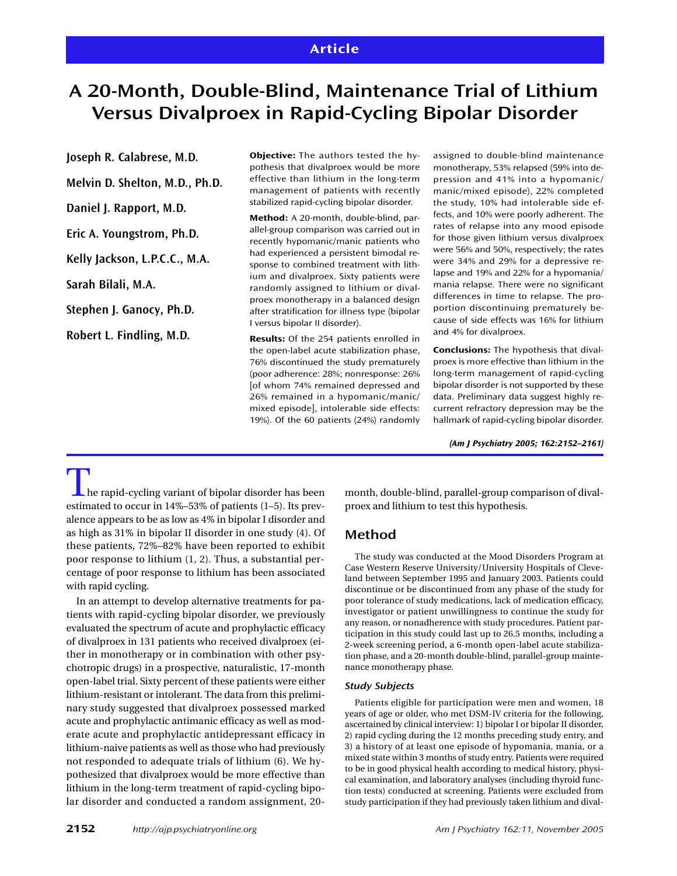# **Article**

# **A 20-Month, Double-Blind, Maintenance Trial of Lithium Versus Divalproex in Rapid-Cycling Bipolar Disorder**

**Joseph R. Calabrese, M.D.**

**Melvin D. Shelton, M.D., Ph.D.**

**Daniel J. Rapport, M.D.**

**Eric A. Youngstrom, Ph.D.**

**Kelly Jackson, L.P.C.C., M.A.**

**Sarah Bilali, M.A.**

**Stephen J. Ganocy, Ph.D.**

**Robert L. Findling, M.D.**

**Objective:** The authors tested the hypothesis that divalproex would be more effective than lithium in the long-term management of patients with recently stabilized rapid-cycling bipolar disorder.

**Method:** A 20-month, double-blind, parallel-group comparison was carried out in recently hypomanic/manic patients who had experienced a persistent bimodal response to combined treatment with lithium and divalproex. Sixty patients were randomly assigned to lithium or divalproex monotherapy in a balanced design after stratification for illness type (bipolar I versus bipolar II disorder).

**Results:** Of the 254 patients enrolled in the open-label acute stabilization phase, 76% discontinued the study prematurely (poor adherence: 28%; nonresponse: 26% [of whom 74% remained depressed and 26% remained in a hypomanic/manic/ mixed episode], intolerable side effects: 19%). Of the 60 patients (24%) randomly

assigned to double-blind maintenance monotherapy, 53% relapsed (59% into depression and 41% into a hypomanic/ manic/mixed episode), 22% completed the study, 10% had intolerable side effects, and 10% were poorly adherent. The rates of relapse into any mood episode for those given lithium versus divalproex were 56% and 50%, respectively; the rates were 34% and 29% for a depressive relapse and 19% and 22% for a hypomania/ mania relapse. There were no significant differences in time to relapse. The proportion discontinuing prematurely because of side effects was 16% for lithium and 4% for divalproex.

**Conclusions:** The hypothesis that divalproex is more effective than lithium in the long-term management of rapid-cycling bipolar disorder is not supported by these data. Preliminary data suggest highly recurrent refractory depression may be the hallmark of rapid-cycling bipolar disorder.

*(Am J Psychiatry 2005; 162:2152–2161)*

 $\perp$  he rapid-cycling variant of bipolar disorder has been estimated to occur in 14%–53% of patients (1–5). Its prevalence appears to be as low as 4% in bipolar I disorder and as high as 31% in bipolar II disorder in one study (4). Of these patients, 72%–82% have been reported to exhibit poor response to lithium (1, 2). Thus, a substantial percentage of poor response to lithium has been associated with rapid cycling.

In an attempt to develop alternative treatments for patients with rapid-cycling bipolar disorder, we previously evaluated the spectrum of acute and prophylactic efficacy of divalproex in 131 patients who received divalproex (either in monotherapy or in combination with other psychotropic drugs) in a prospective, naturalistic, 17-month open-label trial. Sixty percent of these patients were either lithium-resistant or intolerant. The data from this preliminary study suggested that divalproex possessed marked acute and prophylactic antimanic efficacy as well as moderate acute and prophylactic antidepressant efficacy in lithium-naive patients as well as those who had previously not responded to adequate trials of lithium (6). We hypothesized that divalproex would be more effective than lithium in the long-term treatment of rapid-cycling bipolar disorder and conducted a random assignment, 20-

**2152** *http://ajp.psychiatryonline.org Am J Psychiatry 162:11, November 2005*

month, double-blind, parallel-group comparison of divalproex and lithium to test this hypothesis.

# **Method**

The study was conducted at the Mood Disorders Program at Case Western Reserve University/University Hospitals of Cleveland between September 1995 and January 2003. Patients could discontinue or be discontinued from any phase of the study for poor tolerance of study medications, lack of medication efficacy, investigator or patient unwillingness to continue the study for any reason, or nonadherence with study procedures. Patient participation in this study could last up to 26.5 months, including a 2-week screening period, a 6-month open-label acute stabilization phase, and a 20-month double-blind, parallel-group maintenance monotherapy phase.

### *Study Subjects*

Patients eligible for participation were men and women, 18 years of age or older, who met DSM-IV criteria for the following, ascertained by clinical interview: 1) bipolar I or bipolar II disorder, 2) rapid cycling during the 12 months preceding study entry, and 3) a history of at least one episode of hypomania, mania, or a mixed state within 3 months of study entry. Patients were required to be in good physical health according to medical history, physical examination, and laboratory analyses (including thyroid function tests) conducted at screening. Patients were excluded from study participation if they had previously taken lithium and dival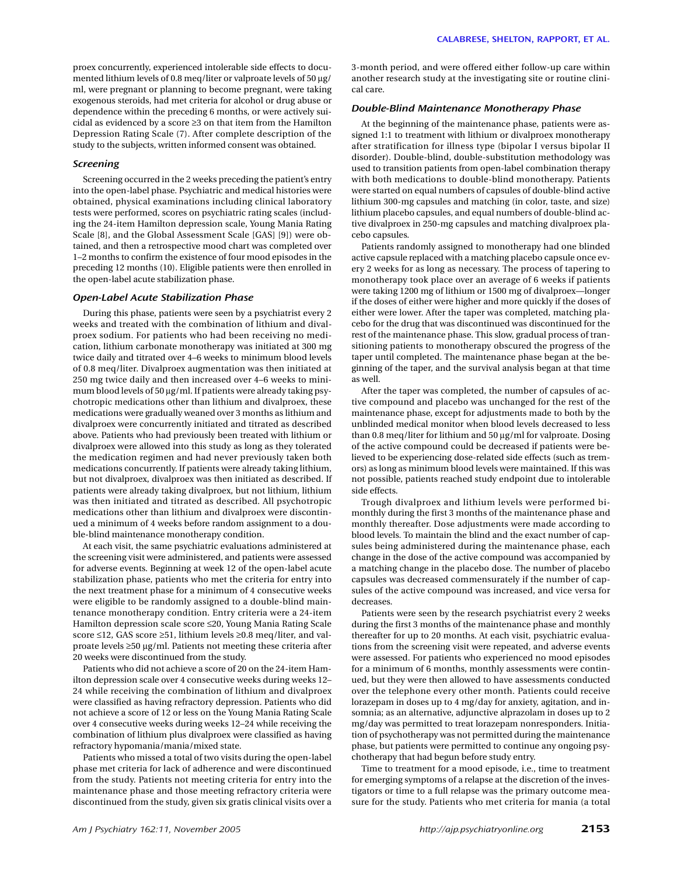proex concurrently, experienced intolerable side effects to documented lithium levels of 0.8 meq/liter or valproate levels of 50 µg/ ml, were pregnant or planning to become pregnant, were taking exogenous steroids, had met criteria for alcohol or drug abuse or dependence within the preceding 6 months, or were actively suicidal as evidenced by a score ≥3 on that item from the Hamilton Depression Rating Scale (7). After complete description of the study to the subjects, written informed consent was obtained.

#### *Screening*

Screening occurred in the 2 weeks preceding the patient's entry into the open-label phase. Psychiatric and medical histories were obtained, physical examinations including clinical laboratory tests were performed, scores on psychiatric rating scales (including the 24-item Hamilton depression scale, Young Mania Rating Scale [8], and the Global Assessment Scale [GAS] [9]) were obtained, and then a retrospective mood chart was completed over 1–2 months to confirm the existence of four mood episodes in the preceding 12 months (10). Eligible patients were then enrolled in the open-label acute stabilization phase.

#### *Open-Label Acute Stabilization Phase*

During this phase, patients were seen by a psychiatrist every 2 weeks and treated with the combination of lithium and divalproex sodium. For patients who had been receiving no medication, lithium carbonate monotherapy was initiated at 300 mg twice daily and titrated over 4–6 weeks to minimum blood levels of 0.8 meq/liter. Divalproex augmentation was then initiated at 250 mg twice daily and then increased over 4–6 weeks to minimum blood levels of 50 µg/ml. If patients were already taking psychotropic medications other than lithium and divalproex, these medications were gradually weaned over 3 months as lithium and divalproex were concurrently initiated and titrated as described above. Patients who had previously been treated with lithium or divalproex were allowed into this study as long as they tolerated the medication regimen and had never previously taken both medications concurrently. If patients were already taking lithium, but not divalproex, divalproex was then initiated as described. If patients were already taking divalproex, but not lithium, lithium was then initiated and titrated as described. All psychotropic medications other than lithium and divalproex were discontinued a minimum of 4 weeks before random assignment to a double-blind maintenance monotherapy condition.

At each visit, the same psychiatric evaluations administered at the screening visit were administered, and patients were assessed for adverse events. Beginning at week 12 of the open-label acute stabilization phase, patients who met the criteria for entry into the next treatment phase for a minimum of 4 consecutive weeks were eligible to be randomly assigned to a double-blind maintenance monotherapy condition. Entry criteria were a 24-item Hamilton depression scale score ≤20, Young Mania Rating Scale score ≤12, GAS score ≥51, lithium levels ≥0.8 meq/liter, and valproate levels ≥50 µg/ml. Patients not meeting these criteria after 20 weeks were discontinued from the study.

Patients who did not achieve a score of 20 on the 24-item Hamilton depression scale over 4 consecutive weeks during weeks 12– 24 while receiving the combination of lithium and divalproex were classified as having refractory depression. Patients who did not achieve a score of 12 or less on the Young Mania Rating Scale over 4 consecutive weeks during weeks 12–24 while receiving the combination of lithium plus divalproex were classified as having refractory hypomania/mania/mixed state.

Patients who missed a total of two visits during the open-label phase met criteria for lack of adherence and were discontinued from the study. Patients not meeting criteria for entry into the maintenance phase and those meeting refractory criteria were discontinued from the study, given six gratis clinical visits over a 3-month period, and were offered either follow-up care within another research study at the investigating site or routine clinical care.

#### *Double-Blind Maintenance Monotherapy Phase*

At the beginning of the maintenance phase, patients were assigned 1:1 to treatment with lithium or divalproex monotherapy after stratification for illness type (bipolar I versus bipolar II disorder). Double-blind, double-substitution methodology was used to transition patients from open-label combination therapy with both medications to double-blind monotherapy. Patients were started on equal numbers of capsules of double-blind active lithium 300-mg capsules and matching (in color, taste, and size) lithium placebo capsules, and equal numbers of double-blind active divalproex in 250-mg capsules and matching divalproex placebo capsules.

Patients randomly assigned to monotherapy had one blinded active capsule replaced with a matching placebo capsule once every 2 weeks for as long as necessary. The process of tapering to monotherapy took place over an average of 6 weeks if patients were taking 1200 mg of lithium or 1500 mg of divalproex—longer if the doses of either were higher and more quickly if the doses of either were lower. After the taper was completed, matching placebo for the drug that was discontinued was discontinued for the rest of the maintenance phase. This slow, gradual process of transitioning patients to monotherapy obscured the progress of the taper until completed. The maintenance phase began at the beginning of the taper, and the survival analysis began at that time as well.

After the taper was completed, the number of capsules of active compound and placebo was unchanged for the rest of the maintenance phase, except for adjustments made to both by the unblinded medical monitor when blood levels decreased to less than 0.8 meq/liter for lithium and 50 µg/ml for valproate. Dosing of the active compound could be decreased if patients were believed to be experiencing dose-related side effects (such as tremors) as long as minimum blood levels were maintained. If this was not possible, patients reached study endpoint due to intolerable side effects.

Trough divalproex and lithium levels were performed bimonthly during the first 3 months of the maintenance phase and monthly thereafter. Dose adjustments were made according to blood levels. To maintain the blind and the exact number of capsules being administered during the maintenance phase, each change in the dose of the active compound was accompanied by a matching change in the placebo dose. The number of placebo capsules was decreased commensurately if the number of capsules of the active compound was increased, and vice versa for decreases.

Patients were seen by the research psychiatrist every 2 weeks during the first 3 months of the maintenance phase and monthly thereafter for up to 20 months. At each visit, psychiatric evaluations from the screening visit were repeated, and adverse events were assessed. For patients who experienced no mood episodes for a minimum of 6 months, monthly assessments were continued, but they were then allowed to have assessments conducted over the telephone every other month. Patients could receive lorazepam in doses up to 4 mg/day for anxiety, agitation, and insomnia; as an alternative, adjunctive alprazolam in doses up to 2 mg/day was permitted to treat lorazepam nonresponders. Initiation of psychotherapy was not permitted during the maintenance phase, but patients were permitted to continue any ongoing psychotherapy that had begun before study entry.

Time to treatment for a mood episode, i.e., time to treatment for emerging symptoms of a relapse at the discretion of the investigators or time to a full relapse was the primary outcome measure for the study. Patients who met criteria for mania (a total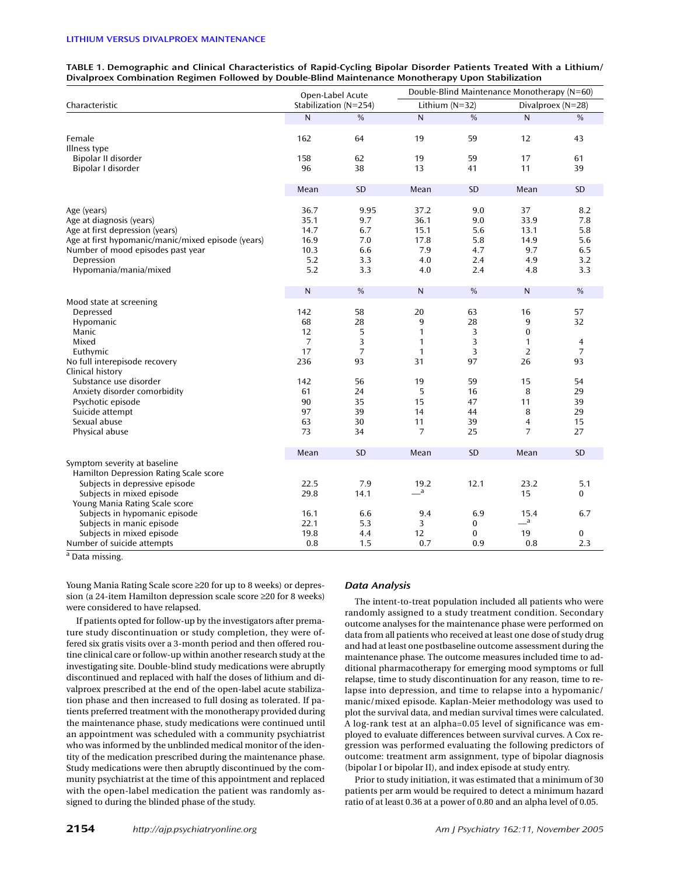| TABLE 1. Demographic and Clinical Characteristics of Rapid-Cycling Bipolar Disorder Patients Treated With a Lithium/ |
|----------------------------------------------------------------------------------------------------------------------|
| Divalproex Combination Regimen Followed by Double-Blind Maintenance Monotherapy Upon Stabilization                   |

|                                                                                                                                                                                                                                                                          | Open-Label Acute                                                                            |                                                                                             | Double-Blind Maintenance Monotherapy (N=60)                                                               |                                                                                |                                                                                                                        |                                                                                        |  |
|--------------------------------------------------------------------------------------------------------------------------------------------------------------------------------------------------------------------------------------------------------------------------|---------------------------------------------------------------------------------------------|---------------------------------------------------------------------------------------------|-----------------------------------------------------------------------------------------------------------|--------------------------------------------------------------------------------|------------------------------------------------------------------------------------------------------------------------|----------------------------------------------------------------------------------------|--|
| Characteristic                                                                                                                                                                                                                                                           |                                                                                             | Stabilization (N=254)                                                                       |                                                                                                           | Lithium (N=32)                                                                 |                                                                                                                        | Divalproex (N=28)                                                                      |  |
|                                                                                                                                                                                                                                                                          | N                                                                                           | $\frac{0}{0}$                                                                               | $\mathsf{N}$                                                                                              | $\frac{0}{0}$                                                                  | $\mathsf{N}$                                                                                                           | $\frac{0}{0}$                                                                          |  |
| Female<br>Illness type                                                                                                                                                                                                                                                   | 162                                                                                         | 64                                                                                          | 19                                                                                                        | 59                                                                             | 12                                                                                                                     | 43                                                                                     |  |
| Bipolar II disorder                                                                                                                                                                                                                                                      | 158                                                                                         | 62                                                                                          | 19                                                                                                        | 59                                                                             | 17                                                                                                                     | 61                                                                                     |  |
| Bipolar I disorder                                                                                                                                                                                                                                                       | 96                                                                                          | 38                                                                                          | 13                                                                                                        | 41                                                                             | 11                                                                                                                     | 39                                                                                     |  |
|                                                                                                                                                                                                                                                                          | Mean                                                                                        | SD                                                                                          | Mean                                                                                                      | SD                                                                             | Mean                                                                                                                   | SD                                                                                     |  |
| Age (years)<br>Age at diagnosis (years)<br>Age at first depression (years)<br>Age at first hypomanic/manic/mixed episode (years)<br>Number of mood episodes past year<br>Depression<br>Hypomania/mania/mixed                                                             | 36.7<br>35.1<br>14.7<br>16.9<br>10.3<br>5.2<br>5.2                                          | 9.95<br>9.7<br>6.7<br>7.0<br>6.6<br>3.3<br>3.3                                              | 37.2<br>36.1<br>15.1<br>17.8<br>7.9<br>4.0<br>4.0                                                         | 9.0<br>9.0<br>5.6<br>5.8<br>4.7<br>2.4<br>2.4                                  | 37<br>33.9<br>13.1<br>14.9<br>9.7<br>4.9<br>4.8                                                                        | 8.2<br>7.8<br>5.8<br>5.6<br>6.5<br>3.2<br>3.3                                          |  |
|                                                                                                                                                                                                                                                                          | N                                                                                           | %                                                                                           | $\mathsf{N}$                                                                                              | $\%$                                                                           | N                                                                                                                      | $\%$                                                                                   |  |
| Mood state at screening<br>Depressed<br>Hypomanic<br>Manic<br>Mixed<br>Euthymic<br>No full interepisode recovery<br>Clinical history<br>Substance use disorder<br>Anxiety disorder comorbidity<br>Psychotic episode<br>Suicide attempt<br>Sexual abuse<br>Physical abuse | 142<br>68<br>12<br>$\overline{7}$<br>17<br>236<br>142<br>61<br>90<br>97<br>63<br>73<br>Mean | 58<br>28<br>5<br>3<br>$\overline{7}$<br>93<br>56<br>24<br>35<br>39<br>30<br>34<br><b>SD</b> | 20<br>9<br>$\mathbf{1}$<br>1<br>$\mathbf{1}$<br>31<br>19<br>5<br>15<br>14<br>11<br>$\overline{7}$<br>Mean | 63<br>28<br>3<br>3<br>3<br>97<br>59<br>16<br>47<br>44<br>39<br>25<br><b>SD</b> | 16<br>9<br>$\mathbf{0}$<br>1<br>$\overline{2}$<br>26<br>15<br>8<br>11<br>8<br>$\overline{4}$<br>$\overline{7}$<br>Mean | 57<br>32<br>4<br>$\overline{7}$<br>93<br>54<br>29<br>39<br>29<br>15<br>27<br><b>SD</b> |  |
| Symptom severity at baseline                                                                                                                                                                                                                                             |                                                                                             |                                                                                             |                                                                                                           |                                                                                |                                                                                                                        |                                                                                        |  |
| Hamilton Depression Rating Scale score<br>Subjects in depressive episode<br>Subjects in mixed episode                                                                                                                                                                    | 22.5<br>29.8                                                                                | 7.9<br>14.1                                                                                 | 19.2<br>$\equiv$ <sup>a</sup>                                                                             | 12.1                                                                           | 23.2<br>15                                                                                                             | 5.1<br>0                                                                               |  |
| Young Mania Rating Scale score<br>Subjects in hypomanic episode                                                                                                                                                                                                          | 16.1                                                                                        | 6.6                                                                                         | 9.4                                                                                                       | 6.9                                                                            | 15.4                                                                                                                   | 6.7                                                                                    |  |
| Subjects in manic episode                                                                                                                                                                                                                                                | 22.1                                                                                        | 5.3                                                                                         | 3                                                                                                         | 0                                                                              | $\overline{\phantom{a}}^a$                                                                                             |                                                                                        |  |
| Subjects in mixed episode<br>Number of suicide attempts                                                                                                                                                                                                                  | 19.8<br>0.8                                                                                 | 4.4<br>1.5                                                                                  | 12<br>0.7                                                                                                 | $\bf{0}$<br>0.9                                                                | 19<br>0.8                                                                                                              | $\bf{0}$<br>2.3                                                                        |  |

<sup>a</sup> Data missing.

Young Mania Rating Scale score ≥20 for up to 8 weeks) or depression (a 24-item Hamilton depression scale score ≥20 for 8 weeks) were considered to have relapsed.

If patients opted for follow-up by the investigators after premature study discontinuation or study completion, they were offered six gratis visits over a 3-month period and then offered routine clinical care or follow-up within another research study at the investigating site. Double-blind study medications were abruptly discontinued and replaced with half the doses of lithium and divalproex prescribed at the end of the open-label acute stabilization phase and then increased to full dosing as tolerated. If patients preferred treatment with the monotherapy provided during the maintenance phase, study medications were continued until an appointment was scheduled with a community psychiatrist who was informed by the unblinded medical monitor of the identity of the medication prescribed during the maintenance phase. Study medications were then abruptly discontinued by the community psychiatrist at the time of this appointment and replaced with the open-label medication the patient was randomly assigned to during the blinded phase of the study.

### *Data Analysis*

The intent-to-treat population included all patients who were randomly assigned to a study treatment condition. Secondary outcome analyses for the maintenance phase were performed on data from all patients who received at least one dose of study drug and had at least one postbaseline outcome assessment during the maintenance phase. The outcome measures included time to additional pharmacotherapy for emerging mood symptoms or full relapse, time to study discontinuation for any reason, time to relapse into depression, and time to relapse into a hypomanic/ manic/mixed episode. Kaplan-Meier methodology was used to plot the survival data, and median survival times were calculated. A log-rank test at an alpha=0.05 level of significance was employed to evaluate differences between survival curves. A Cox regression was performed evaluating the following predictors of outcome: treatment arm assignment, type of bipolar diagnosis (bipolar I or bipolar II), and index episode at study entry.

Prior to study initiation, it was estimated that a minimum of 30 patients per arm would be required to detect a minimum hazard ratio of at least 0.36 at a power of 0.80 and an alpha level of 0.05.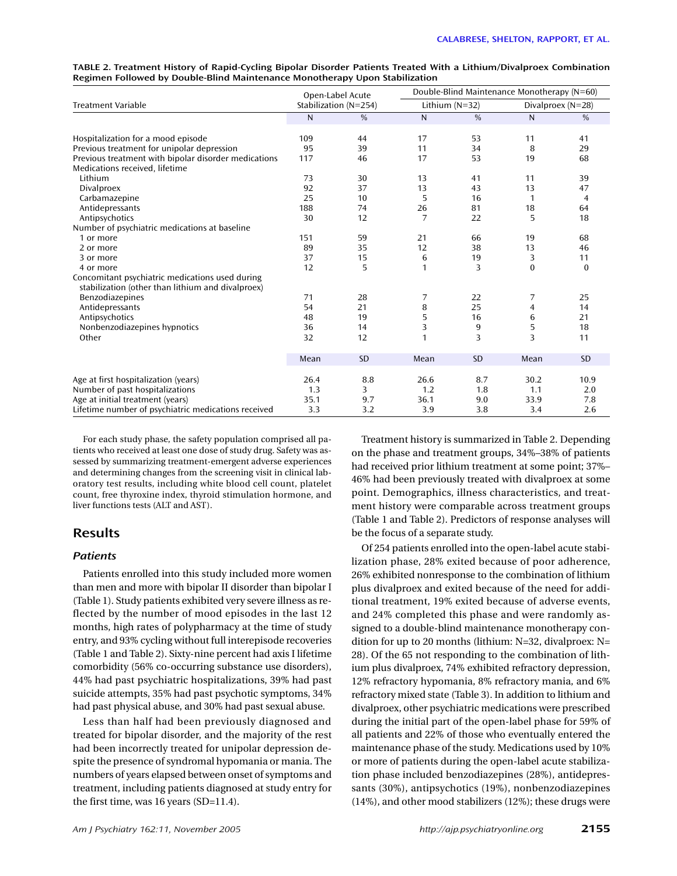|                                                      | Open-Label Acute      |               | Double-Blind Maintenance Monotherapy (N=60) |               |                     |                |  |
|------------------------------------------------------|-----------------------|---------------|---------------------------------------------|---------------|---------------------|----------------|--|
| <b>Treatment Variable</b>                            | Stabilization (N=254) |               | Lithium $(N=32)$                            |               | Divalproex $(N=28)$ |                |  |
|                                                      | N                     | $\frac{0}{0}$ | $\mathsf{N}$                                | $\frac{0}{0}$ | N                   | $\frac{0}{0}$  |  |
| Hospitalization for a mood episode                   | 109                   | 44            | 17                                          | 53            | 11                  | 41             |  |
| Previous treatment for unipolar depression           | 95                    | 39            | 11                                          | 34            | 8                   | 29             |  |
| Previous treatment with bipolar disorder medications | 117                   | 46            | 17                                          | 53            | 19                  | 68             |  |
| Medications received, lifetime                       |                       |               |                                             |               |                     |                |  |
| Lithium                                              | 73                    | 30            | 13                                          | 41            | 11                  | 39             |  |
| <b>Divalproex</b>                                    | 92                    | 37            | 13                                          | 43            | 13                  | 47             |  |
| Carbamazepine                                        | 25                    | 10            | 5                                           | 16            | 1                   | $\overline{4}$ |  |
| Antidepressants                                      | 188                   | 74            | 26                                          | 81            | 18                  | 64             |  |
| Antipsychotics                                       | 30                    | 12            | 7                                           | 22            | 5                   | 18             |  |
| Number of psychiatric medications at baseline        |                       |               |                                             |               |                     |                |  |
| 1 or more                                            | 151                   | 59            | 21                                          | 66            | 19                  | 68             |  |
| 2 or more                                            | 89                    | 35            | 12                                          | 38            | 13                  | 46             |  |
| 3 or more                                            | 37                    | 15            | 6                                           | 19            | 3                   | 11             |  |
| 4 or more                                            | 12                    | 5             | 1                                           | 3             | $\Omega$            | $\Omega$       |  |
| Concomitant psychiatric medications used during      |                       |               |                                             |               |                     |                |  |
| stabilization (other than lithium and divalproex)    |                       |               |                                             |               |                     |                |  |
| Benzodiazepines                                      | 71                    | 28            | 7                                           | 22            | 7                   | 25             |  |
| Antidepressants                                      | 54                    | 21            | 8                                           | 25            | $\overline{4}$      | 14             |  |
| Antipsychotics                                       | 48                    | 19            | 5                                           | 16            | 6                   | 21             |  |
| Nonbenzodiazepines hypnotics                         | 36                    | 14            | 3                                           | 9             | 5                   | 18             |  |
| Other                                                | 32                    | 12            | 1                                           | 3             | 3                   | 11             |  |
|                                                      | Mean                  | <b>SD</b>     | Mean                                        | <b>SD</b>     | Mean                | <b>SD</b>      |  |
| Age at first hospitalization (years)                 | 26.4                  | 8.8           | 26.6                                        | 8.7           | 30.2                | 10.9           |  |
|                                                      | 1.3                   | 3             | 1.2                                         | 1.8           | 1.1                 | 2.0            |  |
| Number of past hospitalizations                      | 35.1                  | 9.7           | 36.1                                        | 9.0           | 33.9                | 7.8            |  |
| Age at initial treatment (years)                     | 3.3                   | 3.2           | 3.9                                         | 3.8           | 3.4                 | 2.6            |  |
| Lifetime number of psychiatric medications received  |                       |               |                                             |               |                     |                |  |

**TABLE 2. Treatment History of Rapid-Cycling Bipolar Disorder Patients Treated With a Lithium/Divalproex Combination Regimen Followed by Double-Blind Maintenance Monotherapy Upon Stabilization**

For each study phase, the safety population comprised all patients who received at least one dose of study drug. Safety was assessed by summarizing treatment-emergent adverse experiences and determining changes from the screening visit in clinical laboratory test results, including white blood cell count, platelet count, free thyroxine index, thyroid stimulation hormone, and liver functions tests (ALT and AST).

# **Results**

# *Patients*

Patients enrolled into this study included more women than men and more with bipolar II disorder than bipolar I (Table 1). Study patients exhibited very severe illness as reflected by the number of mood episodes in the last 12 months, high rates of polypharmacy at the time of study entry, and 93% cycling without full interepisode recoveries (Table 1 and Table 2). Sixty-nine percent had axis I lifetime comorbidity (56% co-occurring substance use disorders), 44% had past psychiatric hospitalizations, 39% had past suicide attempts, 35% had past psychotic symptoms, 34% had past physical abuse, and 30% had past sexual abuse.

Less than half had been previously diagnosed and treated for bipolar disorder, and the majority of the rest had been incorrectly treated for unipolar depression despite the presence of syndromal hypomania or mania. The numbers of years elapsed between onset of symptoms and treatment, including patients diagnosed at study entry for the first time, was 16 years (SD=11.4).

Treatment history is summarized in Table 2. Depending on the phase and treatment groups, 34%–38% of patients had received prior lithium treatment at some point; 37%– 46% had been previously treated with divalproex at some point. Demographics, illness characteristics, and treatment history were comparable across treatment groups (Table 1 and Table 2). Predictors of response analyses will be the focus of a separate study.

Of 254 patients enrolled into the open-label acute stabilization phase, 28% exited because of poor adherence, 26% exhibited nonresponse to the combination of lithium plus divalproex and exited because of the need for additional treatment, 19% exited because of adverse events, and 24% completed this phase and were randomly assigned to a double-blind maintenance monotherapy condition for up to 20 months (lithium: N=32, divalproex: N= 28). Of the 65 not responding to the combination of lithium plus divalproex, 74% exhibited refractory depression, 12% refractory hypomania, 8% refractory mania, and 6% refractory mixed state (Table 3). In addition to lithium and divalproex, other psychiatric medications were prescribed during the initial part of the open-label phase for 59% of all patients and 22% of those who eventually entered the maintenance phase of the study. Medications used by 10% or more of patients during the open-label acute stabilization phase included benzodiazepines (28%), antidepressants (30%), antipsychotics (19%), nonbenzodiazepines (14%), and other mood stabilizers (12%); these drugs were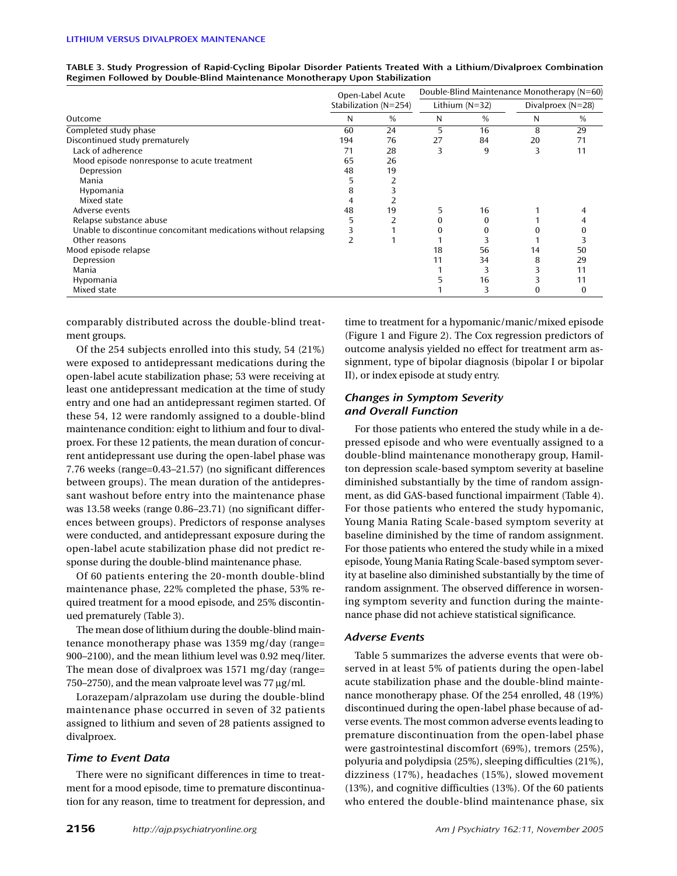| Open-Label Acute                                                |     |                       | Double-Blind Maintenance Monotherapy (N=60) |                  |    |                     |  |
|-----------------------------------------------------------------|-----|-----------------------|---------------------------------------------|------------------|----|---------------------|--|
| Outcome                                                         |     | Stabilization (N=254) |                                             | Lithium $(N=32)$ |    | Divalproex $(N=28)$ |  |
|                                                                 |     | $\%$                  | N                                           | $\%$             | N  | $\%$                |  |
| Completed study phase                                           | 60  | 24                    | 5                                           | 16               | 8  | 29                  |  |
| Discontinued study prematurely                                  | 194 | 76                    | 27                                          | 84               | 20 | 71                  |  |
| Lack of adherence                                               | 71  | 28                    | 3                                           | 9                | 3  | 11                  |  |
| Mood episode nonresponse to acute treatment                     | 65  | 26                    |                                             |                  |    |                     |  |
| Depression                                                      | 48  | 19                    |                                             |                  |    |                     |  |
| Mania                                                           |     |                       |                                             |                  |    |                     |  |
| Hypomania                                                       |     |                       |                                             |                  |    |                     |  |
| Mixed state                                                     |     |                       |                                             |                  |    |                     |  |
| Adverse events                                                  | 48  | 19                    |                                             | 16               |    |                     |  |
| Relapse substance abuse                                         |     |                       |                                             |                  |    |                     |  |
| Unable to discontinue concomitant medications without relapsing |     |                       |                                             |                  |    |                     |  |
| Other reasons                                                   |     |                       |                                             |                  |    |                     |  |
| Mood episode relapse                                            |     |                       | 18                                          | 56               | 14 | 50                  |  |
| Depression                                                      |     |                       | 11                                          | 34               | 8  | 29                  |  |
| Mania                                                           |     |                       |                                             | 3                |    | 11                  |  |
| Hypomania                                                       |     |                       |                                             | 16               |    | 11                  |  |
| Mixed state                                                     |     |                       |                                             |                  |    |                     |  |

**TABLE 3. Study Progression of Rapid-Cycling Bipolar Disorder Patients Treated With a Lithium/Divalproex Combination Regimen Followed by Double-Blind Maintenance Monotherapy Upon Stabilization**

comparably distributed across the double-blind treatment groups.

Of the 254 subjects enrolled into this study, 54 (21%) were exposed to antidepressant medications during the open-label acute stabilization phase; 53 were receiving at least one antidepressant medication at the time of study entry and one had an antidepressant regimen started. Of these 54, 12 were randomly assigned to a double-blind maintenance condition: eight to lithium and four to divalproex. For these 12 patients, the mean duration of concurrent antidepressant use during the open-label phase was 7.76 weeks (range=0.43–21.57) (no significant differences between groups). The mean duration of the antidepressant washout before entry into the maintenance phase was 13.58 weeks (range 0.86–23.71) (no significant differences between groups). Predictors of response analyses were conducted, and antidepressant exposure during the open-label acute stabilization phase did not predict response during the double-blind maintenance phase.

Of 60 patients entering the 20-month double-blind maintenance phase, 22% completed the phase, 53% required treatment for a mood episode, and 25% discontinued prematurely (Table 3).

The mean dose of lithium during the double-blind maintenance monotherapy phase was 1359 mg/day (range= 900–2100), and the mean lithium level was 0.92 meq/liter. The mean dose of divalproex was 1571 mg/day (range= 750–2750), and the mean valproate level was 77 µg/ml.

Lorazepam/alprazolam use during the double-blind maintenance phase occurred in seven of 32 patients assigned to lithium and seven of 28 patients assigned to divalproex.

# *Time to Event Data*

There were no significant differences in time to treatment for a mood episode, time to premature discontinuation for any reason, time to treatment for depression, and

time to treatment for a hypomanic/manic/mixed episode (Figure 1 and Figure 2). The Cox regression predictors of outcome analysis yielded no effect for treatment arm assignment, type of bipolar diagnosis (bipolar I or bipolar II), or index episode at study entry.

# *Changes in Symptom Severity and Overall Function*

For those patients who entered the study while in a depressed episode and who were eventually assigned to a double-blind maintenance monotherapy group, Hamilton depression scale-based symptom severity at baseline diminished substantially by the time of random assignment, as did GAS-based functional impairment (Table 4). For those patients who entered the study hypomanic, Young Mania Rating Scale-based symptom severity at baseline diminished by the time of random assignment. For those patients who entered the study while in a mixed episode, Young Mania Rating Scale-based symptom severity at baseline also diminished substantially by the time of random assignment. The observed difference in worsening symptom severity and function during the maintenance phase did not achieve statistical significance.

# *Adverse Events*

Table 5 summarizes the adverse events that were observed in at least 5% of patients during the open-label acute stabilization phase and the double-blind maintenance monotherapy phase. Of the 254 enrolled, 48 (19%) discontinued during the open-label phase because of adverse events. The most common adverse events leading to premature discontinuation from the open-label phase were gastrointestinal discomfort (69%), tremors (25%), polyuria and polydipsia (25%), sleeping difficulties (21%), dizziness (17%), headaches (15%), slowed movement (13%), and cognitive difficulties (13%). Of the 60 patients who entered the double-blind maintenance phase, six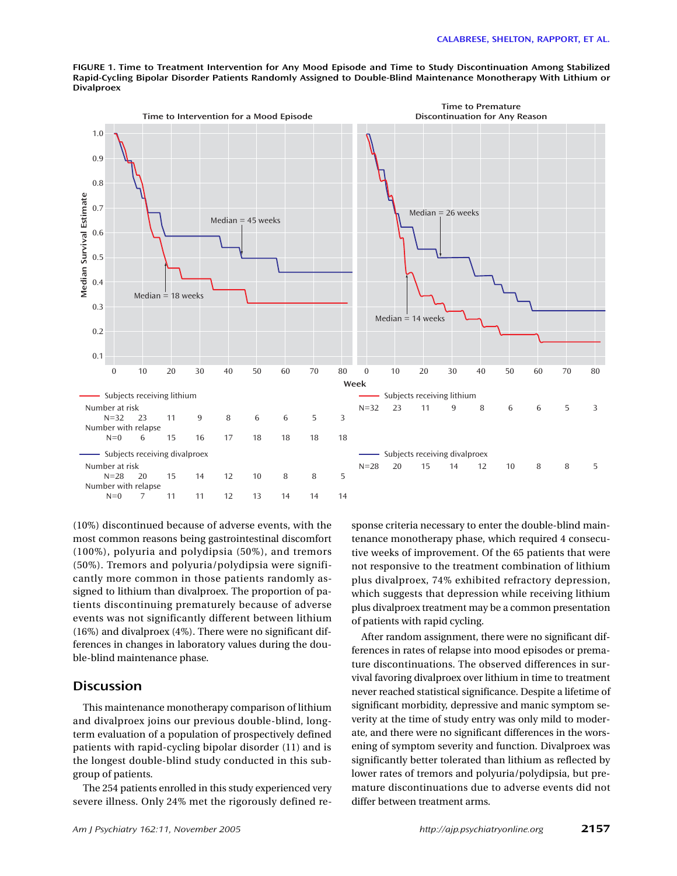**Time to Premature Time to Intervention for a Mood Episode Discontinuation for Any Reason** 1.0 0.9 0.8 Median Survival Estimate **Median Survival Estimate** 0.7  $Median = 26 weeks$ Median = 45 weeks 0.6 0.5 0.4  $Median = 18 weeks$ 0.3  $Median = 14 weeks$ 0.2 0.1 0 10 20 30 40 50 60 70 80 0 10 20 30 40 50 60 70 80 **Week** - Subjects receiving lithium Subjects receiving lithium Number at risk<br> $N=32$  23 N=32 23 11 9 8 6 6 5 3 N=32 23 11 9 8 6 6 5 3 Number with relapse N=0 6 15 16 17 18 18 18 18 Subjects receiving divalproex Subjects receiving divalproex Number at risk N=28 20 15 14 12 10 8 8 5 N=28 20 15 14 12 10 8 8 5 Number with relapse N=0 7 11 11 12 13 14 14 14

**FIGURE 1. Time to Treatment Intervention for Any Mood Episode and Time to Study Discontinuation Among Stabilized Rapid-Cycling Bipolar Disorder Patients Randomly Assigned to Double-Blind Maintenance Monotherapy With Lithium or Divalproex**

(10%) discontinued because of adverse events, with the most common reasons being gastrointestinal discomfort (100%), polyuria and polydipsia (50%), and tremors (50%). Tremors and polyuria/polydipsia were significantly more common in those patients randomly assigned to lithium than divalproex. The proportion of patients discontinuing prematurely because of adverse events was not significantly different between lithium (16%) and divalproex (4%). There were no significant differences in changes in laboratory values during the double-blind maintenance phase.

# **Discussion**

This maintenance monotherapy comparison of lithium and divalproex joins our previous double-blind, longterm evaluation of a population of prospectively defined patients with rapid-cycling bipolar disorder (11) and is the longest double-blind study conducted in this subgroup of patients.

The 254 patients enrolled in this study experienced very severe illness. Only 24% met the rigorously defined re-

sponse criteria necessary to enter the double-blind maintenance monotherapy phase, which required 4 consecutive weeks of improvement. Of the 65 patients that were not responsive to the treatment combination of lithium plus divalproex, 74% exhibited refractory depression, which suggests that depression while receiving lithium plus divalproex treatment may be a common presentation of patients with rapid cycling.

After random assignment, there were no significant differences in rates of relapse into mood episodes or premature discontinuations. The observed differences in survival favoring divalproex over lithium in time to treatment never reached statistical significance. Despite a lifetime of significant morbidity, depressive and manic symptom severity at the time of study entry was only mild to moderate, and there were no significant differences in the worsening of symptom severity and function. Divalproex was significantly better tolerated than lithium as reflected by lower rates of tremors and polyuria/polydipsia, but premature discontinuations due to adverse events did not differ between treatment arms.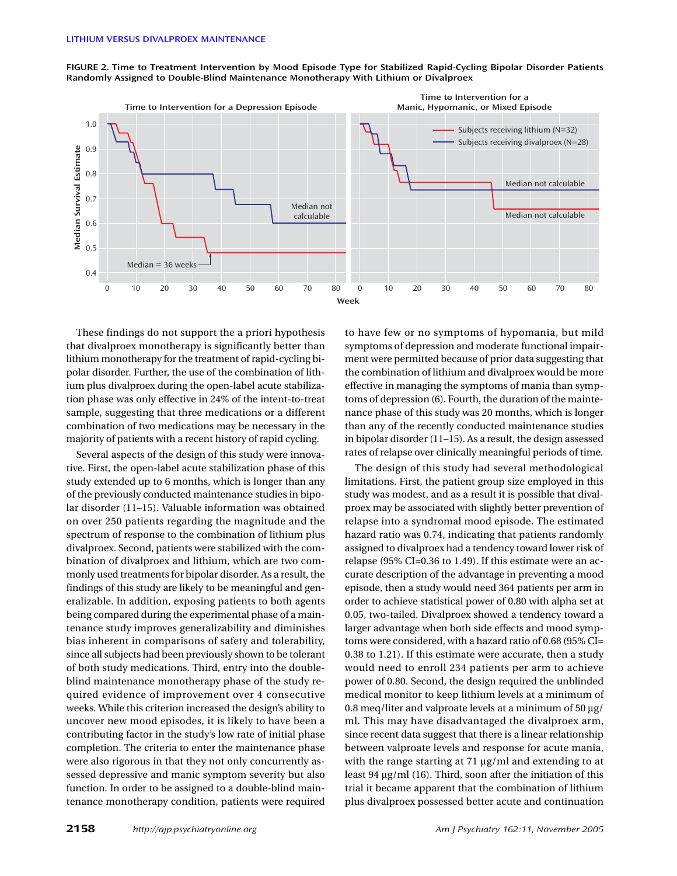

**FIGURE 2. Time to Treatment Intervention by Mood Episode Type for Stabilized Rapid-Cycling Bipolar Disorder Patients Randomly Assigned to Double-Blind Maintenance Monotherapy With Lithium or Divalproex**

These findings do not support the a priori hypothesis that divalproex monotherapy is significantly better than lithium monotherapy for the treatment of rapid-cycling bipolar disorder. Further, the use of the combination of lithium plus divalproex during the open-label acute stabilization phase was only effective in 24% of the intent-to-treat sample, suggesting that three medications or a different combination of two medications may be necessary in the majority of patients with a recent history of rapid cycling.

Several aspects of the design of this study were innovative. First, the open-label acute stabilization phase of this study extended up to 6 months, which is longer than any of the previously conducted maintenance studies in bipolar disorder (11–15). Valuable information was obtained on over 250 patients regarding the magnitude and the spectrum of response to the combination of lithium plus divalproex. Second, patients were stabilized with the combination of divalproex and lithium, which are two commonly used treatments for bipolar disorder. As a result, the findings of this study are likely to be meaningful and generalizable. In addition, exposing patients to both agents being compared during the experimental phase of a maintenance study improves generalizability and diminishes bias inherent in comparisons of safety and tolerability, since all subjects had been previously shown to be tolerant of both study medications. Third, entry into the doubleblind maintenance monotherapy phase of the study required evidence of improvement over 4 consecutive weeks. While this criterion increased the design's ability to uncover new mood episodes, it is likely to have been a contributing factor in the study's low rate of initial phase completion. The criteria to enter the maintenance phase were also rigorous in that they not only concurrently assessed depressive and manic symptom severity but also function. In order to be assigned to a double-blind maintenance monotherapy condition, patients were required

to have few or no symptoms of hypomania, but mild symptoms of depression and moderate functional impairment were permitted because of prior data suggesting that the combination of lithium and divalproex would be more effective in managing the symptoms of mania than symptoms of depression (6). Fourth, the duration of the maintenance phase of this study was 20 months, which is longer than any of the recently conducted maintenance studies in bipolar disorder (11–15). As a result, the design assessed rates of relapse over clinically meaningful periods of time.

The design of this study had several methodological limitations. First, the patient group size employed in this study was modest, and as a result it is possible that divalproex may be associated with slightly better prevention of relapse into a syndromal mood episode. The estimated hazard ratio was 0.74, indicating that patients randomly assigned to divalproex had a tendency toward lower risk of relapse (95% CI=0.36 to 1.49). If this estimate were an accurate description of the advantage in preventing a mood episode, then a study would need 364 patients per arm in order to achieve statistical power of 0.80 with alpha set at 0.05, two-tailed. Divalproex showed a tendency toward a larger advantage when both side effects and mood symptoms were considered, with a hazard ratio of 0.68 (95% CI= 0.38 to 1.21). If this estimate were accurate, then a study would need to enroll 234 patients per arm to achieve power of 0.80. Second, the design required the unblinded medical monitor to keep lithium levels at a minimum of 0.8 meq/liter and valproate levels at a minimum of  $50 \mu g$ / ml. This may have disadvantaged the divalproex arm, since recent data suggest that there is a linear relationship between valproate levels and response for acute mania, with the range starting at 71  $\mu$ g/ml and extending to at least 94 µg/ml (16). Third, soon after the initiation of this trial it became apparent that the combination of lithium plus divalproex possessed better acute and continuation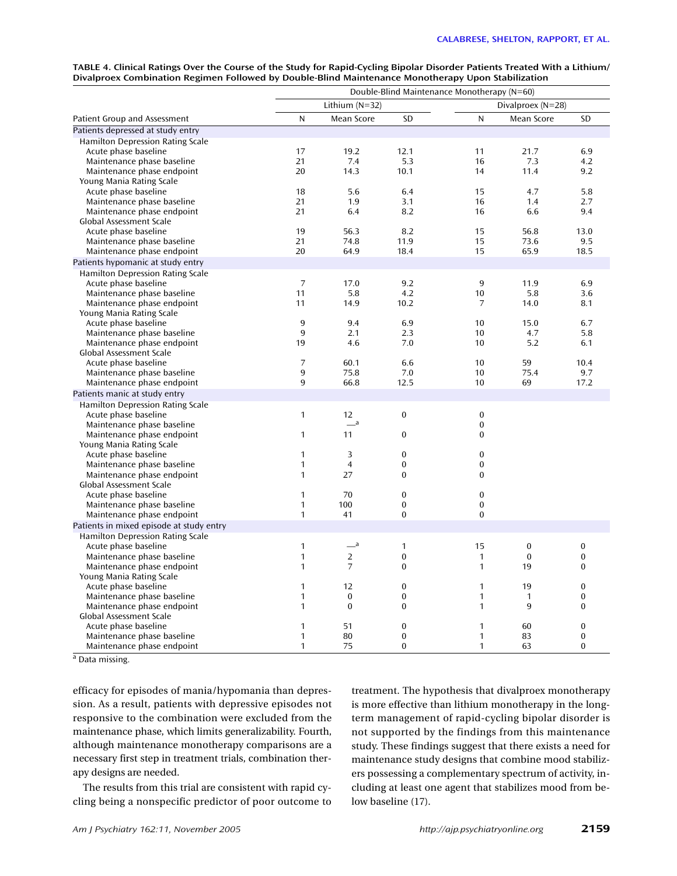| TABLE 4. Clinical Ratings Over the Course of the Study for Rapid-Cycling Bipolar Disorder Patients Treated With a Lithium/ |
|----------------------------------------------------------------------------------------------------------------------------|
| Divalproex Combination Regimen Followed by Double-Blind Maintenance Monotherapy Upon Stabilization                         |

|                                          | Double-Blind Maintenance Monotherapy (N=60) |                       |                |                |                                 |                  |
|------------------------------------------|---------------------------------------------|-----------------------|----------------|----------------|---------------------------------|------------------|
|                                          | Lithium $(N=32)$                            |                       |                |                |                                 |                  |
| Patient Group and Assessment             | N                                           | Mean Score            | SD             | N              | Divalproex (N=28)<br>Mean Score | <b>SD</b>        |
| Patients depressed at study entry        |                                             |                       |                |                |                                 |                  |
| <b>Hamilton Depression Rating Scale</b>  |                                             |                       |                |                |                                 |                  |
| Acute phase baseline                     | 17                                          | 19.2                  | 12.1           | 11             | 21.7                            | 6.9              |
| Maintenance phase baseline               | 21                                          | 7.4                   | 5.3            | 16             | 7.3                             | 4.2              |
| Maintenance phase endpoint               | 20                                          | 14.3                  | 10.1           | 14             | 11.4                            | 9.2              |
| Young Mania Rating Scale                 |                                             |                       |                |                |                                 |                  |
| Acute phase baseline                     | 18                                          | 5.6                   | 6.4            | 15             | 4.7                             | 5.8              |
| Maintenance phase baseline               | 21                                          | 1.9                   | 3.1            | 16             | 1.4                             | 2.7              |
| Maintenance phase endpoint               | 21                                          | 6.4                   | 8.2            | 16             | 6.6                             | 9.4              |
| Global Assessment Scale                  |                                             |                       |                |                |                                 |                  |
| Acute phase baseline                     | 19                                          | 56.3                  | 8.2            | 15             | 56.8                            | 13.0             |
| Maintenance phase baseline               | 21                                          | 74.8                  | 11.9           | 15             | 73.6                            | 9.5              |
| Maintenance phase endpoint               | 20                                          | 64.9                  | 18.4           | 15             | 65.9                            | 18.5             |
| Patients hypomanic at study entry        |                                             |                       |                |                |                                 |                  |
| <b>Hamilton Depression Rating Scale</b>  |                                             |                       |                |                |                                 |                  |
| Acute phase baseline                     | $\overline{7}$                              | 17.0                  | 9.2            | 9              | 11.9                            | 6.9              |
| Maintenance phase baseline               | 11                                          | 5.8                   | 4.2            | 10             | 5.8                             | 3.6              |
| Maintenance phase endpoint               | 11                                          | 14.9                  | 10.2           | $\overline{7}$ | 14.0                            | 8.1              |
| Young Mania Rating Scale                 |                                             |                       |                |                |                                 |                  |
| Acute phase baseline                     | 9                                           | 9.4                   | 6.9            | 10             | 15.0                            | 6.7              |
| Maintenance phase baseline               | 9                                           | 2.1                   | 2.3            | 10             | 4.7                             | 5.8              |
| Maintenance phase endpoint               | 19                                          | 4.6                   | 7.0            | 10             | 5.2                             | 6.1              |
| Global Assessment Scale                  |                                             |                       |                |                |                                 |                  |
| Acute phase baseline                     | 7                                           | 60.1                  | 6.6            | 10             | 59                              | 10.4             |
| Maintenance phase baseline               | 9                                           | 75.8                  | 7.0            | 10             | 75.4                            | 9.7              |
| Maintenance phase endpoint               | 9                                           | 66.8                  | 12.5           | 10             | 69                              | 17.2             |
| Patients manic at study entry            |                                             |                       |                |                |                                 |                  |
| Hamilton Depression Rating Scale         |                                             |                       |                |                |                                 |                  |
| Acute phase baseline                     | $\mathbf{1}$                                | 12                    | $\mathbf{0}$   | $\bf{0}$       |                                 |                  |
| Maintenance phase baseline               |                                             | $\equiv$ <sup>a</sup> |                | $\mathbf{0}$   |                                 |                  |
| Maintenance phase endpoint               | $\mathbf{1}$                                | 11                    | $\bf{0}$       | $\mathbf{0}$   |                                 |                  |
| Young Mania Rating Scale                 |                                             |                       |                |                |                                 |                  |
| Acute phase baseline                     | $\mathbf{1}$                                | 3                     | $\overline{0}$ | $\mathbf{0}$   |                                 |                  |
| Maintenance phase baseline               | 1                                           | $\overline{4}$        | $\mathbf{0}$   | $\bf{0}$       |                                 |                  |
| Maintenance phase endpoint               | 1                                           | 27                    | $\bf{0}$       | $\Omega$       |                                 |                  |
| Global Assessment Scale                  |                                             |                       |                |                |                                 |                  |
| Acute phase baseline                     | $\mathbf{1}$                                | 70                    | $\overline{0}$ | $\mathbf{0}$   |                                 |                  |
| Maintenance phase baseline               | 1                                           | 100                   | $\Omega$       | $\Omega$       |                                 |                  |
| Maintenance phase endpoint               | 1                                           | 41                    | $\bf{0}$       | $\Omega$       |                                 |                  |
| Patients in mixed episode at study entry |                                             |                       |                |                |                                 |                  |
| <b>Hamilton Depression Rating Scale</b>  |                                             |                       |                |                |                                 |                  |
| Acute phase baseline                     | $\mathbf{1}$                                | $-$ <sup>a</sup>      | $\mathbf{1}$   | 15             | $\mathbf{0}$                    | $\mathbf{0}$     |
| Maintenance phase baseline               | 1                                           | 2                     | 0              | $\mathbf{1}$   | $\mathbf{0}$                    | $\mathbf{0}$     |
| Maintenance phase endpoint               | $\mathbf{1}$                                | $\overline{7}$        | $\bf{0}$       | $\mathbf{1}$   | 19                              | $\mathbf{0}$     |
| Young Mania Rating Scale                 |                                             |                       |                |                |                                 |                  |
| Acute phase baseline                     | $\mathbf{1}$                                | 12                    | 0              | $\mathbf{1}$   | 19                              | $\boldsymbol{0}$ |
| Maintenance phase baseline               | $\mathbf{1}$                                | $\Omega$              | $\Omega$       | $\mathbf{1}$   | 1                               | $\Omega$         |
| Maintenance phase endpoint               | $\mathbf{1}$                                | $\Omega$              | $\Omega$       | $\mathbf{1}$   | 9                               | $\Omega$         |
| Global Assessment Scale                  |                                             |                       |                |                |                                 |                  |
| Acute phase baseline                     | 1                                           | 51                    | 0              | $\mathbf{1}$   | 60                              | $\mathbf{0}$     |
| Maintenance phase baseline               | 1                                           | 80                    | $\mathbf{0}$   | 1              | 83                              | $\mathbf{0}$     |
| Maintenance phase endpoint               | $\mathbf{1}$                                | 75                    | $\Omega$       | $\mathbf{1}$   | 63                              | $\Omega$         |

<sup>a</sup> Data missing.

efficacy for episodes of mania/hypomania than depression. As a result, patients with depressive episodes not responsive to the combination were excluded from the maintenance phase, which limits generalizability. Fourth, although maintenance monotherapy comparisons are a necessary first step in treatment trials, combination therapy designs are needed.

The results from this trial are consistent with rapid cycling being a nonspecific predictor of poor outcome to

treatment. The hypothesis that divalproex monotherapy is more effective than lithium monotherapy in the longterm management of rapid-cycling bipolar disorder is not supported by the findings from this maintenance study. These findings suggest that there exists a need for maintenance study designs that combine mood stabilizers possessing a complementary spectrum of activity, including at least one agent that stabilizes mood from below baseline (17).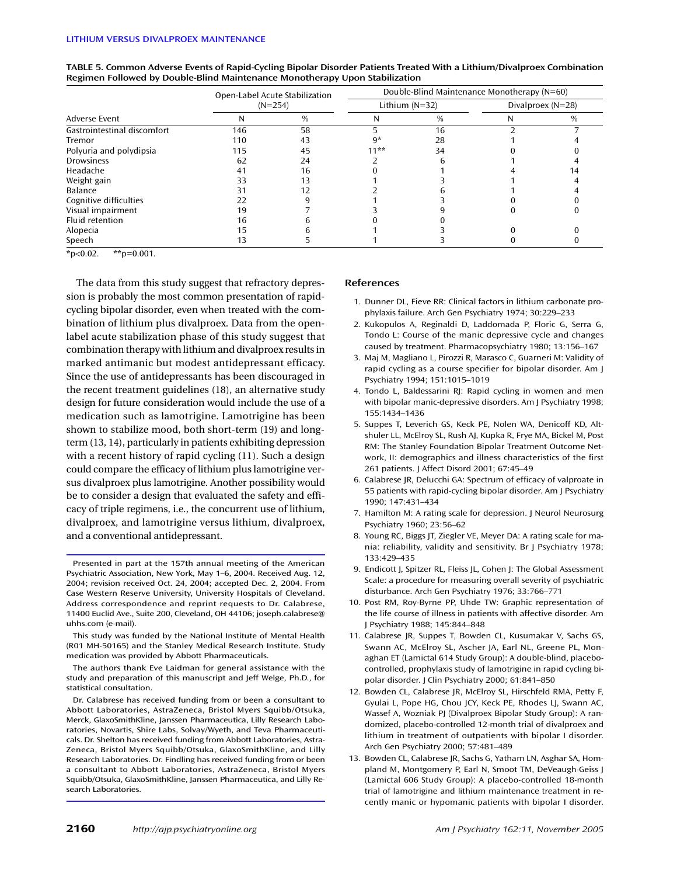|                             |     | Open-Label Acute Stabilization |                                         | Double-Blind Maintenance Monotherapy (N=60) |  |               |
|-----------------------------|-----|--------------------------------|-----------------------------------------|---------------------------------------------|--|---------------|
|                             |     | $(N=254)$                      | Lithium $(N=32)$<br>Divalproex $(N=28)$ |                                             |  |               |
| Adverse Event               | N   | $\frac{0}{0}$                  |                                         | $\frac{0}{0}$                               |  | $\frac{0}{0}$ |
| Gastrointestinal discomfort | 146 | 58                             |                                         | 16                                          |  |               |
| Tremor                      | 110 | 43                             | 9*                                      | 28                                          |  |               |
| Polyuria and polydipsia     | 115 | 45                             | $11**$                                  | 34                                          |  |               |
| Drowsiness                  | 62  | 24                             |                                         |                                             |  |               |
| Headache                    | 41  | 16                             |                                         |                                             |  |               |
| Weight gain                 | 33  |                                |                                         |                                             |  |               |
| Balance                     | 31  |                                |                                         |                                             |  |               |
| Cognitive difficulties      | 22  |                                |                                         |                                             |  |               |
| Visual impairment           | 19  |                                |                                         |                                             |  |               |
| Fluid retention             | 16  |                                |                                         |                                             |  |               |
| Alopecia                    | 15  |                                |                                         |                                             |  |               |
| Speech                      | 13  |                                |                                         |                                             |  |               |

| TABLE 5. Common Adverse Events of Rapid-Cycling Bipolar Disorder Patients Treated With a Lithium/Divalproex Combination |
|-------------------------------------------------------------------------------------------------------------------------|
| Regimen Followed by Double-Blind Maintenance Monotherapy Upon Stabilization                                             |

 $*p<0.02$ .  $*p=0.001$ .

The data from this study suggest that refractory depression is probably the most common presentation of rapidcycling bipolar disorder, even when treated with the combination of lithium plus divalproex. Data from the openlabel acute stabilization phase of this study suggest that combination therapy with lithium and divalproex results in marked antimanic but modest antidepressant efficacy. Since the use of antidepressants has been discouraged in the recent treatment guidelines (18), an alternative study design for future consideration would include the use of a medication such as lamotrigine. Lamotrigine has been shown to stabilize mood, both short-term (19) and longterm (13, 14), particularly in patients exhibiting depression with a recent history of rapid cycling (11). Such a design could compare the efficacy of lithium plus lamotrigine versus divalproex plus lamotrigine. Another possibility would be to consider a design that evaluated the safety and efficacy of triple regimens, i.e., the concurrent use of lithium, divalproex, and lamotrigine versus lithium, divalproex, and a conventional antidepressant.

This study was funded by the National Institute of Mental Health (R01 MH-50165) and the Stanley Medical Research Institute. Study medication was provided by Abbott Pharmaceuticals.

The authors thank Eve Laidman for general assistance with the study and preparation of this manuscript and Jeff Welge, Ph.D., for statistical consultation.

Dr. Calabrese has received funding from or been a consultant to Abbott Laboratories, AstraZeneca, Bristol Myers Squibb/Otsuka, Merck, GlaxoSmithKline, Janssen Pharmaceutica, Lilly Research Laboratories, Novartis, Shire Labs, Solvay/Wyeth, and Teva Pharmaceuticals. Dr. Shelton has received funding from Abbott Laboratories, Astra-Zeneca, Bristol Myers Squibb/Otsuka, GlaxoSmithKline, and Lilly Research Laboratories. Dr. Findling has received funding from or been a consultant to Abbott Laboratories, AstraZeneca, Bristol Myers Squibb/Otsuka, GlaxoSmithKline, Janssen Pharmaceutica, and Lilly Research Laboratories.

### **References**

- 1. Dunner DL, Fieve RR: Clinical factors in lithium carbonate prophylaxis failure. Arch Gen Psychiatry 1974; 30:229–233
- 2. Kukopulos A, Reginaldi D, Laddomada P, Floric G, Serra G, Tondo L: Course of the manic depressive cycle and changes caused by treatment. Pharmacopsychiatry 1980; 13:156–167
- 3. Maj M, Magliano L, Pirozzi R, Marasco C, Guarneri M: Validity of rapid cycling as a course specifier for bipolar disorder. Am J Psychiatry 1994; 151:1015–1019
- 4. Tondo L, Baldessarini RJ: Rapid cycling in women and men with bipolar manic-depressive disorders. Am J Psychiatry 1998; 155:1434–1436
- 5. Suppes T, Leverich GS, Keck PE, Nolen WA, Denicoff KD, Altshuler LL, McElroy SL, Rush AJ, Kupka R, Frye MA, Bickel M, Post RM: The Stanley Foundation Bipolar Treatment Outcome Network, II: demographics and illness characteristics of the first 261 patients. J Affect Disord 2001; 67:45–49
- 6. Calabrese JR, Delucchi GA: Spectrum of efficacy of valproate in 55 patients with rapid-cycling bipolar disorder. Am J Psychiatry 1990; 147:431–434
- 7. Hamilton M: A rating scale for depression. J Neurol Neurosurg Psychiatry 1960; 23:56–62
- 8. Young RC, Biggs JT, Ziegler VE, Meyer DA: A rating scale for mania: reliability, validity and sensitivity. Br J Psychiatry 1978; 133:429–435
- 9. Endicott J, Spitzer RL, Fleiss JL, Cohen J: The Global Assessment Scale: a procedure for measuring overall severity of psychiatric disturbance. Arch Gen Psychiatry 1976; 33:766–771
- 10. Post RM, Roy-Byrne PP, Uhde TW: Graphic representation of the life course of illness in patients with affective disorder. Am J Psychiatry 1988; 145:844–848
- 11. Calabrese JR, Suppes T, Bowden CL, Kusumakar V, Sachs GS, Swann AC, McElroy SL, Ascher JA, Earl NL, Greene PL, Monaghan ET (Lamictal 614 Study Group): A double-blind, placebocontrolled, prophylaxis study of lamotrigine in rapid cycling bipolar disorder. J Clin Psychiatry 2000; 61:841–850
- 12. Bowden CL, Calabrese JR, McElroy SL, Hirschfeld RMA, Petty F, Gyulai L, Pope HG, Chou JCY, Keck PE, Rhodes LJ, Swann AC, Wassef A, Wozniak PJ (Divalproex Bipolar Study Group): A randomized, placebo-controlled 12-month trial of divalproex and lithium in treatment of outpatients with bipolar I disorder. Arch Gen Psychiatry 2000; 57:481–489
- 13. Bowden CL, Calabrese JR, Sachs G, Yatham LN, Asghar SA, Hompland M, Montgomery P, Earl N, Smoot TM, DeVeaugh-Geiss J (Lamictal 606 Study Group): A placebo-controlled 18-month trial of lamotrigine and lithium maintenance treatment in recently manic or hypomanic patients with bipolar I disorder.

Presented in part at the 157th annual meeting of the American Psychiatric Association, New York, May 1–6, 2004. Received Aug. 12, 2004; revision received Oct. 24, 2004; accepted Dec. 2, 2004. From Case Western Reserve University, University Hospitals of Cleveland. Address correspondence and reprint requests to Dr. Calabrese, 11400 Euclid Ave., Suite 200, Cleveland, OH 44106; joseph.calabrese@ uhhs.com (e-mail).